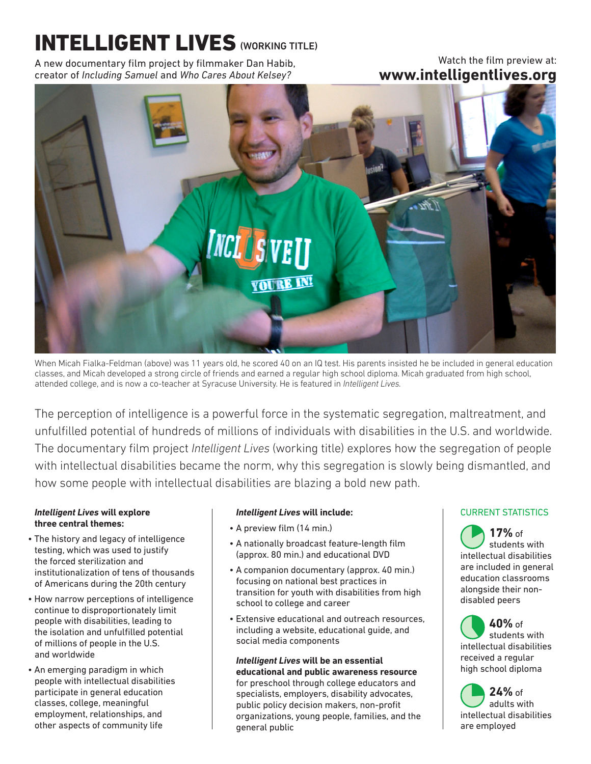# INTELLIGENT LIVES (WORKING TITLE)

A new documentary film project by filmmaker Dan Habib, creator of *Including Samuel* and *Who Cares About Kelsey?*

# Watch the film preview at: **www.intelligentlives.org**



When Micah Fialka-Feldman (above) was 11 years old, he scored 40 on an IQ test. His parents insisted he be included in general education classes, and Micah developed a strong circle of friends and earned a regular high school diploma. Micah graduated from high school, attended college, and is now a co-teacher at Syracuse University. He is featured in *Intelligent Lives.*

The perception of intelligence is a powerful force in the systematic segregation, maltreatment, and unfulfilled potential of hundreds of millions of individuals with disabilities in the U.S. and worldwide. The documentary film project *Intelligent Lives* (working title) explores how the segregation of people with intellectual disabilities became the norm, why this segregation is slowly being dismantled, and how some people with intellectual disabilities are blazing a bold new path.

#### *Intelligent Lives* **will explore three central themes:**

- The history and legacy of intelligence testing, which was used to justify the forced sterilization and institutionalization of tens of thousands of Americans during the 20th century
- How narrow perceptions of intelligence continue to disproportionately limit people with disabilities, leading to the isolation and unfulfilled potential of millions of people in the U.S. and worldwide
- An emerging paradigm in which people with intellectual disabilities participate in general education classes, college, meaningful employment, relationships, and other aspects of community life

## *Intelligent Lives* **will include:**

- A preview film (14 min.)
- A nationally broadcast feature-length film (approx. 80 min.) and educational DVD
- A companion documentary (approx. 40 min.) focusing on national best practices in transition for youth with disabilities from high school to college and career
- Extensive educational and outreach resources, including a website, educational guide, and social media components

#### *Intelligent Lives* **will be an essential educational and public awareness resource**  for preschool through college educators and specialists, employers, disability advocates, public policy decision makers, non-profit organizations, young people, families, and the general public

## CURRENT STATISTICS

**17%** of students with intellectual disabilities are included in general education classrooms alongside their nondisabled peers

**40%** of students with intellectual disabilities received a regular high school diploma

**24%** of adults with intellectual disabilities are employed